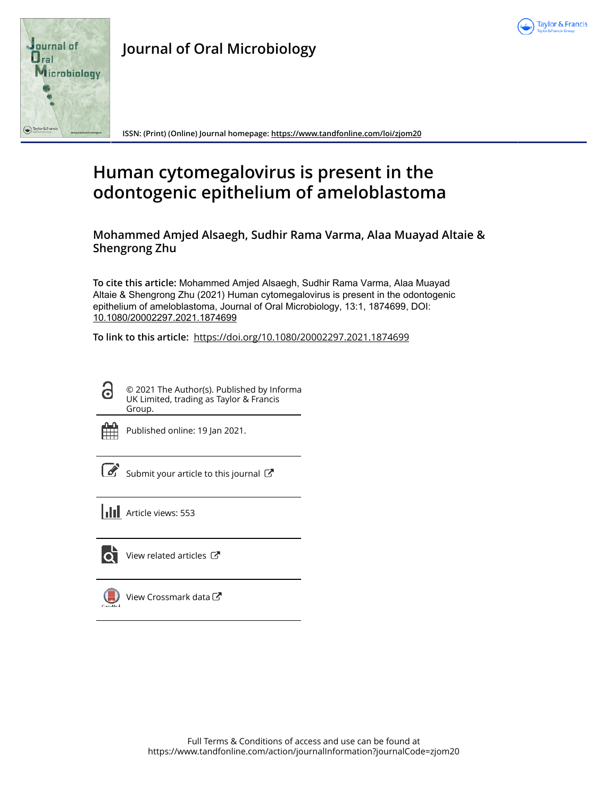



**Journal of Oral Microbiology**

**ISSN: (Print) (Online) Journal homepage: https://www.tandfonline.com/loi/zjom20**

# **Human cytomegalovirus is present in the odontogenic epithelium of ameloblastoma**

**Mohammed Amjed Alsaegh, Sudhir Rama Varma, Alaa Muayad Altaie & Shengrong Zhu**

**To cite this article:** Mohammed Amjed Alsaegh, Sudhir Rama Varma, Alaa Muayad Altaie & Shengrong Zhu (2021) Human cytomegalovirus is present in the odontogenic epithelium of ameloblastoma, Journal of Oral Microbiology, 13:1, 1874699, DOI: 10.1080/20002297.2021.1874699

**To link to this article:** https://doi.org/10.1080/20002297.2021.1874699

© 2021 The Author(s). Published by Informa UK Limited, trading as Taylor & Francis Group.



d

Published online: 19 Jan 2021.

 $\overline{\mathcal{G}}$  Submit your article to this journal  $\overline{\mathcal{G}}$ 





View related articles  $\mathbb{Z}$ 



 $\bigcirc$  View Crossmark data $\mathbb{Z}$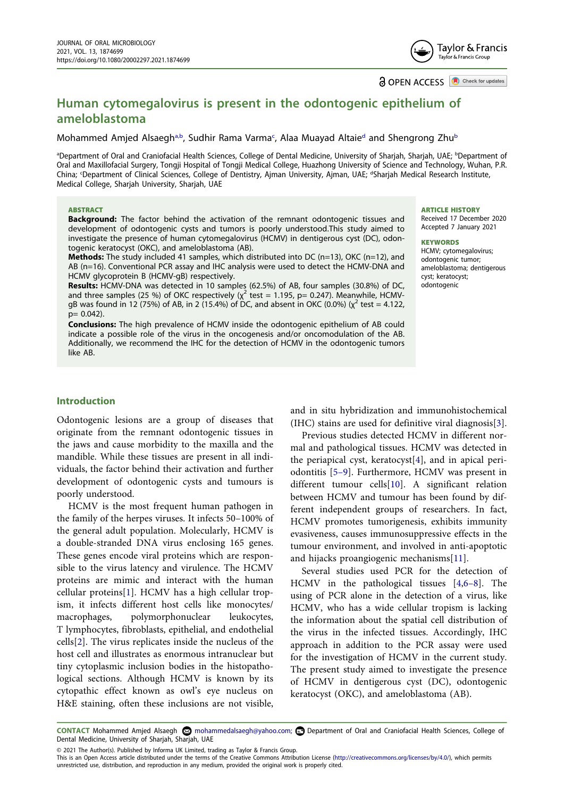Taylor & Francis Tavlor & Francis Group

**a** OPEN ACCESS **a** Check for updates

# **Human cytomegalovirus is present in the odontogenic epithelium of ameloblastoma**

#### Mohammed Amjed Alsaegh<sup>[a,b](#page-1-0)</sup>, Sudhir Rama Varma<sup>[c](#page-1-1)</sup>, Alaa Muaya[d](#page-1-1) Altaie<sup>d</sup> and Shengrong Zhu<sup>[b](#page-1-0)</sup>

<span id="page-1-1"></span><span id="page-1-0"></span>aDepartment of Oral and Craniofacial Health Sciences, College of Dental Medicine, University of Sharjah, Sharjah, UAE; <sup>b</sup>Department of Oral and Maxillofacial Surgery, Tongji Hospital of Tongji Medical College, Huazhong University of Science and Technology, Wuhan, P.R. China; <sup>c</sup>Department of Clinical Sciences, College of Dentistry, Ajman University, Ajman, UAE; <sup>d</sup>Sharjah Medical Research Institute, Medical College, Sharjah University, Sharjah, UAE

#### ABSTRACT

**Background:** The factor behind the activation of the remnant odontogenic tissues and development of odontogenic cysts and tumors is poorly understood.This study aimed to investigate the presence of human cytomegalovirus (HCMV) in dentigerous cyst (DC), odontogenic keratocyst (OKC), and ameloblastoma (AB).

**Methods:** The study included 41 samples, which distributed into DC (n=13), OKC (n=12), and AB (n=16). Conventional PCR assay and IHC analysis were used to detect the HCMV-DNA and HCMV glycoprotein B (HCMV-gB) respectively.

**Results:** HCMV-DNA was detected in 10 samples (62.5%) of AB, four samples (30.8%) of DC, and three samples (25 %) of OKC respectively ( $\chi^2$  test = 1.195, p= 0.247). Meanwhile, HCMVgB was found in 12 (75%) of AB, in 2 (15.4%) of DC, and absent in OKC (0.0%) ( $\chi^2$  test = 4.122, p= 0.042).

**Conclusions:** The high prevalence of HCMV inside the odontogenic epithelium of AB could indicate a possible role of the virus in the oncogenesis and/or oncomodulation of the AB. Additionally, we recommend the IHC for the detection of HCMV in the odontogenic tumors like AB.

ARTICLE HISTORY

Received 17 December 2020 Accepted 7 January 2021

#### **KEYWORDS**

HCMV; cytomegalovirus; odontogenic tumor; ameloblastoma; dentigerous cyst; keratocyst; odontogenic

#### **Introduction**

Odontogenic lesions are a group of diseases that originate from the remnant odontogenic tissues in the jaws and cause morbidity to the maxilla and the mandible. While these tissues are present in all individuals, the factor behind their activation and further development of odontogenic cysts and tumours is poorly understood.

<span id="page-1-2"></span>HCMV is the most frequent human pathogen in the family of the herpes viruses. It infects 50–100% of the general adult population. Molecularly, HCMV is a double-stranded DNA virus enclosing 165 genes. These genes encode viral proteins which are responsible to the virus latency and virulence. The HCMV proteins are mimic and interact with the human cellular proteins[\[1](#page-6-0)]. HCMV has a high cellular tropism, it infects different host cells like monocytes/ macrophages, polymorphonuclear leukocytes, T lymphocytes, fibroblasts, epithelial, and endothelial cells[[2\]](#page-6-1). The virus replicates inside the nucleus of the host cell and illustrates as enormous intranuclear but tiny cytoplasmic inclusion bodies in the histopathological sections. Although HCMV is known by its cytopathic effect known as owl's eye nucleus on H&E staining, often these inclusions are not visible,

<span id="page-1-4"></span>and in situ hybridization and immunohistochemical (IHC) stains are used for definitive viral diagnosis[\[3](#page-6-2)].

<span id="page-1-7"></span><span id="page-1-6"></span>Previous studies detected HCMV in different normal and pathological tissues. HCMV was detected in the periapical cyst, keratocyst[[4\]](#page-6-3), and in apical periodontitis [[5–9](#page-6-4)]. Furthermore, HCMV was present in different tumour cells[\[10](#page-6-5)]. A significant relation between HCMV and tumour has been found by different independent groups of researchers. In fact, HCMV promotes tumorigenesis, exhibits immunity evasiveness, causes immunosuppressive effects in the tumour environment, and involved in anti-apoptotic and hijacks proangiogenic mechanisms[[11\]](#page-6-6).

<span id="page-1-8"></span><span id="page-1-5"></span>Several studies used PCR for the detection of HCMV in the pathological tissues [[4](#page-6-3)[,6–8\]](#page-6-7). The using of PCR alone in the detection of a virus, like HCMV, who has a wide cellular tropism is lacking the information about the spatial cell distribution of the virus in the infected tissues. Accordingly, IHC approach in addition to the PCR assay were used for the investigation of HCMV in the current study. The present study aimed to investigate the presence of HCMV in dentigerous cyst (DC), odontogenic keratocyst (OKC), and ameloblastoma (AB).

<span id="page-1-3"></span>CONTACT Mohammed Amjed Alsaegh @ mohammedalsaegh@yahoo.com; @ Department of Oral and Craniofacial Health Sciences, College of Dental Medicine, University of Sharjah, Sharjah, UAE

© 2021 The Author(s). Published by Informa UK Limited, trading as Taylor & Francis Group.

This is an Open Access article distributed under the terms of the Creative Commons Attribution License (http://creativecommons.org/licenses/by/4.0/), which permits unrestricted use, distribution, and reproduction in any medium, provided the original work is properly cited.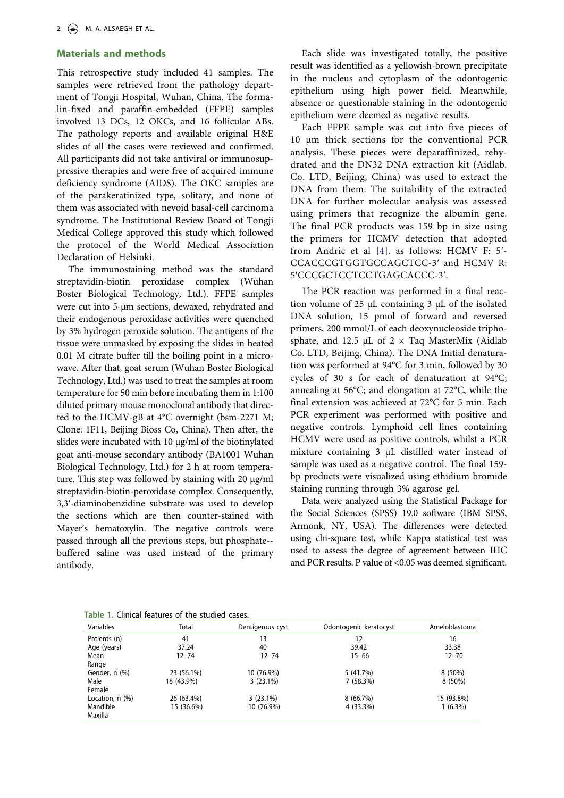#### **Materials and methods**

This retrospective study included 41 samples. The samples were retrieved from the pathology department of Tongji Hospital, Wuhan, China. The formalin-fixed and paraffin-embedded (FFPE) samples involved 13 DCs, 12 OKCs, and 16 follicular ABs. The pathology reports and available original H&E slides of all the cases were reviewed and confirmed. All participants did not take antiviral or immunosuppressive therapies and were free of acquired immune deficiency syndrome (AIDS). The OKC samples are of the parakeratinized type, solitary, and none of them was associated with nevoid basal-cell carcinoma syndrome. The Institutional Review Board of Tongji Medical College approved this study which followed the protocol of the World Medical Association Declaration of Helsinki.

The immunostaining method was the standard streptavidin-biotin peroxidase complex (Wuhan Boster Biological Technology, Ltd.). FFPE samples were cut into 5-μm sections, dewaxed, rehydrated and their endogenous peroxidase activities were quenched by 3% hydrogen peroxide solution. The antigens of the tissue were unmasked by exposing the slides in heated 0.01 M citrate buffer till the boiling point in a microwave. After that, goat serum (Wuhan Boster Biological Technology, Ltd.) was used to treat the samples at room temperature for 50 min before incubating them in 1:100 diluted primary mouse monoclonal antibody that directed to the HCMV-gB at 4°C overnight (bsm-2271 M; Clone: 1F11, Beijing Bioss Co, China). Then after, the slides were incubated with 10 μg/ml of the biotinylated goat anti-mouse secondary antibody (BA1001 Wuhan Biological Technology, Ltd.) for 2 h at room temperature. This step was followed by staining with 20 μg/ml streptavidin-biotin-peroxidase complex. Consequently, 3,3ʹ-diaminobenzidine substrate was used to develop the sections which are then counter-stained with Mayer's hematoxylin. The negative controls were passed through all the previous steps, but phosphate- buffered saline was used instead of the primary antibody.

Each slide was investigated totally, the positive result was identified as a yellowish-brown precipitate in the nucleus and cytoplasm of the odontogenic epithelium using high power field. Meanwhile, absence or questionable staining in the odontogenic epithelium were deemed as negative results.

Each FFPE sample was cut into five pieces of 10 μm thick sections for the conventional PCR analysis. These pieces were deparaffinized, rehydrated and the DN32 DNA extraction kit (Aidlab. Co. LTD, Beijing, China) was used to extract the DNA from them. The suitability of the extracted DNA for further molecular analysis was assessed using primers that recognize the albumin gene. The final PCR products was 159 bp in size using the primers for HCMV detection that adopted from Andric et al [[4](#page-6-3)]. as follows: HCMV F: 5ʹ-CCACCCGTGGTGCCAGCTCC-3ʹ and HCMV R: 5ʹCCCGCTCCTCCTGAGCACCC-3ʹ.

The PCR reaction was performed in a final reaction volume of 25 μL containing 3 μL of the isolated DNA solution, 15 pmol of forward and reversed primers, 200 mmol/L of each deoxynucleoside triphosphate, and 12.5  $\mu$ L of 2 × Taq MasterMix (Aidlab Co. LTD, Beijing, China). The DNA Initial denaturation was performed at 94°C for 3 min, followed by 30 cycles of 30 s for each of denaturation at 94°C; annealing at 56°C; and elongation at 72°C, while the final extension was achieved at 72°C for 5 min. Each PCR experiment was performed with positive and negative controls. Lymphoid cell lines containing HCMV were used as positive controls, whilst a PCR mixture containing 3 μL distilled water instead of sample was used as a negative control. The final 159 bp products were visualized using ethidium bromide staining running through 3% agarose gel.

Data were analyzed using the Statistical Package for the Social Sciences (SPSS) 19.0 software (IBM SPSS, Armonk, NY, USA). The differences were detected using chi-square test, while Kappa statistical test was used to assess the degree of agreement between IHC and PCR results. P value of <0.05 was deemed significant.

<span id="page-2-0"></span>**Table 1.** Clinical features of the studied cases.

| Variables            | Total      | Dentigerous cyst | Odontogenic keratocyst | Ameloblastoma |
|----------------------|------------|------------------|------------------------|---------------|
| Patients (n)         | 41         | 13               | 12                     | 16            |
| Age (years)          | 37.24      | 40               | 39.42                  | 33.38         |
| Mean                 | $12 - 74$  | $12 - 74$        | $15 - 66$              | $12 - 70$     |
| Range                |            |                  |                        |               |
| Gender, n (%)        | 23 (56.1%) | 10 (76.9%)       | 5(41.7%)               | $8(50\%)$     |
| Male                 | 18 (43.9%) | $3(23.1\%)$      | 7(58.3%)               | 8 (50%)       |
| Female               |            |                  |                        |               |
| Location, $n$ $(\%)$ | 26 (63.4%) | $3(23.1\%)$      | 8(66.7%)               | 15 (93.8%)    |
| Mandible             | 15 (36.6%) | 10 (76.9%)       | 4 (33.3%)              | $1(6.3\%)$    |
| Maxilla              |            |                  |                        |               |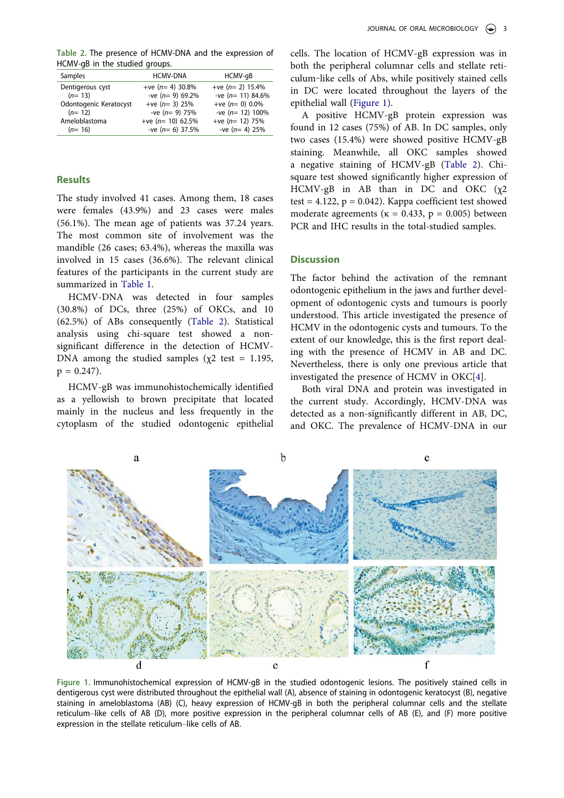<span id="page-3-0"></span>**Table 2.** The presence of HCMV-DNA and the expression of HCMV-gB in the studied groups.

| Samples                | <b>HCMV-DNA</b>    | HCMV-qB            |
|------------------------|--------------------|--------------------|
| Dentigerous cyst       | +ve $(n=4)$ 30.8%  | +ve $(n=2)$ 15.4%  |
| $(n=13)$               | -ve $(n= 9)$ 69.2% | -ve $(n=11)$ 84.6% |
| Odontogenic Keratocyst | +ve $(n=3)$ 25%    | +ve $(n=0)$ 0.0%   |
| $(n=12)$               | -ve $(n= 9)$ 75%   | -ve $(n=12)$ 100%  |
| Ameloblastoma          | +ve $(n=10)$ 62.5% | +ve $(n=12)$ 75%   |
| $(n=16)$               | -ve $(n=6)$ 37.5%  | -ve $(n=4)$ 25%    |

#### **Results**

The study involved 41 cases. Among them, 18 cases were females (43.9%) and 23 cases were males (56.1%). The mean age of patients was 37.24 years. The most common site of involvement was the mandible (26 cases; 63.4%), whereas the maxilla was involved in 15 cases (36.6%). The relevant clinical features of the participants in the current study are summarized in [Table 1.](#page-2-0)

HCMV-DNA was detected in four samples (30.8%) of DCs, three (25%) of OKCs, and 10 (62.5%) of ABs consequently ([Table 2](#page-3-0)). Statistical analysis using chi-square test showed a nonsignificant difference in the detection of HCMV-DNA among the studied samples ( $\chi$ 2 test = 1.195,  $p = 0.247$ .

HCMV-gB was immunohistochemically identified as a yellowish to brown precipitate that located mainly in the nucleus and less frequently in the cytoplasm of the studied odontogenic epithelial

cells. The location of HCMV-gB expression was in both the peripheral columnar cells and stellate reticulum‒like cells of Abs, while positively stained cells in DC were located throughout the layers of the epithelial wall [\(Figure 1\)](#page-3-1).

A positive HCMV-gB protein expression was found in 12 cases (75%) of AB. In DC samples, only two cases (15.4%) were showed positive HCMV-gB staining. Meanwhile, all OKC samples showed a negative staining of HCMV-gB [\(Table 2\)](#page-3-0). Chisquare test showed significantly higher expression of HCMV-gB in AB than in DC and OKC  $(\chi^2)$ test =  $4.122$ , p = 0.042). Kappa coefficient test showed moderate agreements ( $\kappa = 0.433$ ,  $p = 0.005$ ) between PCR and IHC results in the total-studied samples.

#### **Discussion**

The factor behind the activation of the remnant odontogenic epithelium in the jaws and further development of odontogenic cysts and tumours is poorly understood. This article investigated the presence of HCMV in the odontogenic cysts and tumours. To the extent of our knowledge, this is the first report dealing with the presence of HCMV in AB and DC. Nevertheless, there is only one previous article that investigated the presence of HCMV in OKC[\[4](#page-6-3)].

Both viral DNA and protein was investigated in the current study. Accordingly, HCMV-DNA was detected as a non-significantly different in AB, DC, and OKC. The prevalence of HCMV-DNA in our



<span id="page-3-1"></span>**Figure 1.** Immunohistochemical expression of HCMV-gB in the studied odontogenic lesions. The positively stained cells in dentigerous cyst were distributed throughout the epithelial wall (A), absence of staining in odontogenic keratocyst (B), negative staining in ameloblastoma (AB) (C), heavy expression of HCMV-gB in both the peripheral columnar cells and the stellate reticulum–like cells of AB (D), more positive expression in the peripheral columnar cells of AB (E), and (F) more positive expression in the stellate reticulum-like cells of AB.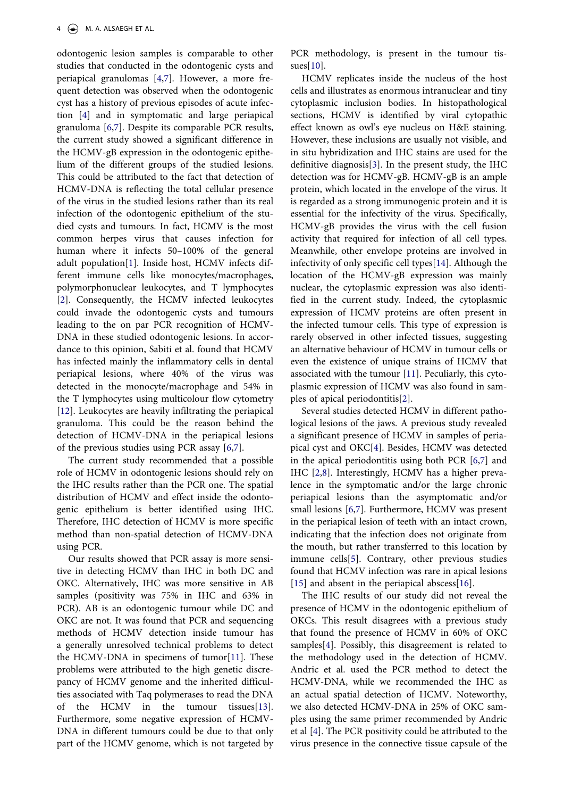odontogenic lesion samples is comparable to other studies that conducted in the odontogenic cysts and periapical granulomas [[4,](#page-6-3)[7](#page-6-8)]. However, a more frequent detection was observed when the odontogenic cyst has a history of previous episodes of acute infection [[4\]](#page-6-3) and in symptomatic and large periapical granuloma [[6](#page-6-7)[,7](#page-6-8)]. Despite its comparable PCR results, the current study showed a significant difference in the HCMV-gB expression in the odontogenic epithelium of the different groups of the studied lesions. This could be attributed to the fact that detection of HCMV-DNA is reflecting the total cellular presence of the virus in the studied lesions rather than its real infection of the odontogenic epithelium of the studied cysts and tumours. In fact, HCMV is the most common herpes virus that causes infection for human where it infects 50–100% of the general adult population[[1\]](#page-6-0). Inside host, HCMV infects different immune cells like monocytes/macrophages, polymorphonuclear leukocytes, and T lymphocytes [[2\]](#page-6-1). Consequently, the HCMV infected leukocytes could invade the odontogenic cysts and tumours leading to the on par PCR recognition of HCMV-DNA in these studied odontogenic lesions. In accordance to this opinion, Sabiti et al. found that HCMV has infected mainly the inflammatory cells in dental periapical lesions, where 40% of the virus was detected in the monocyte/macrophage and 54% in the T lymphocytes using multicolour flow cytometry [[12\]](#page-6-9). Leukocytes are heavily infiltrating the periapical granuloma. This could be the reason behind the detection of HCMV-DNA in the periapical lesions of the previous studies using PCR assay [\[6](#page-6-7),[7\]](#page-6-8).

<span id="page-4-2"></span>The current study recommended that a possible role of HCMV in odontogenic lesions should rely on the IHC results rather than the PCR one. The spatial distribution of HCMV and effect inside the odontogenic epithelium is better identified using IHC. Therefore, IHC detection of HCMV is more specific method than non-spatial detection of HCMV-DNA using PCR.

<span id="page-4-3"></span>Our results showed that PCR assay is more sensitive in detecting HCMV than IHC in both DC and OKC. Alternatively, IHC was more sensitive in AB samples (positivity was 75% in IHC and 63% in PCR). AB is an odontogenic tumour while DC and OKC are not. It was found that PCR and sequencing methods of HCMV detection inside tumour has a generally unresolved technical problems to detect the HCMV-DNA in specimens of tumor[\[11\]](#page-6-6). These problems were attributed to the high genetic discrepancy of HCMV genome and the inherited difficulties associated with Taq polymerases to read the DNA of the HCMV in the tumour tissues[[13\]](#page-6-10). Furthermore, some negative expression of HCMV-DNA in different tumours could be due to that only part of the HCMV genome, which is not targeted by PCR methodology, is present in the tumour tissues[\[10](#page-6-5)].

HCMV replicates inside the nucleus of the host cells and illustrates as enormous intranuclear and tiny cytoplasmic inclusion bodies. In histopathological sections, HCMV is identified by viral cytopathic effect known as owl's eye nucleus on H&E staining. However, these inclusions are usually not visible, and in situ hybridization and IHC stains are used for the definitive diagnosis[[3](#page-6-2)]. In the present study, the IHC detection was for HCMV-gB. HCMV-gB is an ample protein, which located in the envelope of the virus. It is regarded as a strong immunogenic protein and it is essential for the infectivity of the virus. Specifically, HCMV-gB provides the virus with the cell fusion activity that required for infection of all cell types. Meanwhile, other envelope proteins are involved in infectivity of only specific cell types[\[14](#page-6-11)]. Although the location of the HCMV-gB expression was mainly nuclear, the cytoplasmic expression was also identified in the current study. Indeed, the cytoplasmic expression of HCMV proteins are often present in the infected tumour cells. This type of expression is rarely observed in other infected tissues, suggesting an alternative behaviour of HCMV in tumour cells or even the existence of unique strains of HCMV that associated with the tumour [\[11](#page-6-6)]. Peculiarly, this cytoplasmic expression of HCMV was also found in samples of apical periodontitis[[2\]](#page-6-1).

<span id="page-4-4"></span><span id="page-4-1"></span>Several studies detected HCMV in different pathological lesions of the jaws. A previous study revealed a significant presence of HCMV in samples of periapical cyst and OKC[\[4\]](#page-6-3). Besides, HCMV was detected in the apical periodontitis using both PCR [[6,](#page-6-7)[7\]](#page-6-8) and IHC [[2](#page-6-1)[,8](#page-6-12)]. Interestingly, HCMV has a higher prevalence in the symptomatic and/or the large chronic periapical lesions than the asymptomatic and/or small lesions [\[6](#page-6-7)[,7\]](#page-6-8). Furthermore, HCMV was present in the periapical lesion of teeth with an intact crown, indicating that the infection does not originate from the mouth, but rather transferred to this location by immune cells[\[5](#page-6-4)]. Contrary, other previous studies found that HCMV infection was rare in apical lesions [\[15](#page-6-13)] and absent in the periapical abscess[\[16](#page-6-14)].

<span id="page-4-5"></span><span id="page-4-0"></span>The IHC results of our study did not reveal the presence of HCMV in the odontogenic epithelium of OKCs. This result disagrees with a previous study that found the presence of HCMV in 60% of OKC samples[[4\]](#page-6-3). Possibly, this disagreement is related to the methodology used in the detection of HCMV. Andric et al. used the PCR method to detect the HCMV-DNA, while we recommended the IHC as an actual spatial detection of HCMV. Noteworthy, we also detected HCMV-DNA in 25% of OKC samples using the same primer recommended by Andric et al [[4\]](#page-6-3). The PCR positivity could be attributed to the virus presence in the connective tissue capsule of the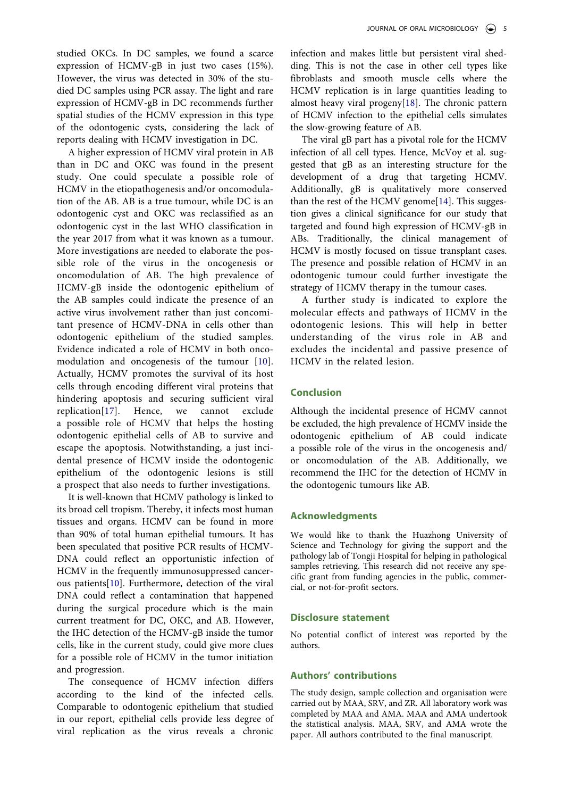A higher expression of HCMV viral protein in AB than in DC and OKC was found in the present study. One could speculate a possible role of HCMV in the etiopathogenesis and/or oncomodulation of the AB. AB is a true tumour, while DC is an odontogenic cyst and OKC was reclassified as an odontogenic cyst in the last WHO classification in the year 2017 from what it was known as a tumour. More investigations are needed to elaborate the possible role of the virus in the oncogenesis or oncomodulation of AB. The high prevalence of HCMV-gB inside the odontogenic epithelium of the AB samples could indicate the presence of an active virus involvement rather than just concomitant presence of HCMV-DNA in cells other than odontogenic epithelium of the studied samples. Evidence indicated a role of HCMV in both oncomodulation and oncogenesis of the tumour [\[10\]](#page-6-5). Actually, HCMV promotes the survival of its host cells through encoding different viral proteins that hindering apoptosis and securing sufficient viral replication[\[17\]](#page-6-15). Hence, we cannot exclude a possible role of HCMV that helps the hosting odontogenic epithelial cells of AB to survive and escape the apoptosis. Notwithstanding, a just incidental presence of HCMV inside the odontogenic epithelium of the odontogenic lesions is still a prospect that also needs to further investigations.

<span id="page-5-0"></span>It is well-known that HCMV pathology is linked to its broad cell tropism. Thereby, it infects most human tissues and organs. HCMV can be found in more than 90% of total human epithelial tumours. It has been speculated that positive PCR results of HCMV-DNA could reflect an opportunistic infection of HCMV in the frequently immunosuppressed cancerous patients[[10\]](#page-6-5). Furthermore, detection of the viral DNA could reflect a contamination that happened during the surgical procedure which is the main current treatment for DC, OKC, and AB. However, the IHC detection of the HCMV-gB inside the tumor cells, like in the current study, could give more clues for a possible role of HCMV in the tumor initiation and progression.

The consequence of HCMV infection differs according to the kind of the infected cells. Comparable to odontogenic epithelium that studied in our report, epithelial cells provide less degree of viral replication as the virus reveals a chronic

infection and makes little but persistent viral shedding. This is not the case in other cell types like fibroblasts and smooth muscle cells where the HCMV replication is in large quantities leading to almost heavy viral progeny[\[18](#page-6-16)]. The chronic pattern of HCMV infection to the epithelial cells simulates the slow-growing feature of AB.

<span id="page-5-1"></span>The viral gB part has a pivotal role for the HCMV infection of all cell types. Hence, McVoy et al. suggested that gB as an interesting structure for the development of a drug that targeting HCMV. Additionally, gB is qualitatively more conserved than the rest of the HCMV genome[\[14](#page-6-11)]. This suggestion gives a clinical significance for our study that targeted and found high expression of HCMV-gB in ABs. Traditionally, the clinical management of HCMV is mostly focused on tissue transplant cases. The presence and possible relation of HCMV in an odontogenic tumour could further investigate the strategy of HCMV therapy in the tumour cases.

A further study is indicated to explore the molecular effects and pathways of HCMV in the odontogenic lesions. This will help in better understanding of the virus role in AB and excludes the incidental and passive presence of HCMV in the related lesion.

# **Conclusion**

Although the incidental presence of HCMV cannot be excluded, the high prevalence of HCMV inside the odontogenic epithelium of AB could indicate a possible role of the virus in the oncogenesis and/ or oncomodulation of the AB. Additionally, we recommend the IHC for the detection of HCMV in the odontogenic tumours like AB.

## **Acknowledgments**

We would like to thank the Huazhong University of Science and Technology for giving the support and the pathology lab of Tongji Hospital for helping in pathological samples retrieving. This research did not receive any specific grant from funding agencies in the public, commercial, or not-for-profit sectors.

#### **Disclosure statement**

No potential conflict of interest was reported by the authors.

## **Authors' contributions**

The study design, sample collection and organisation were carried out by MAA, SRV, and ZR. All laboratory work was completed by MAA and AMA. MAA and AMA undertook the statistical analysis. MAA, SRV, and AMA wrote the paper. All authors contributed to the final manuscript.